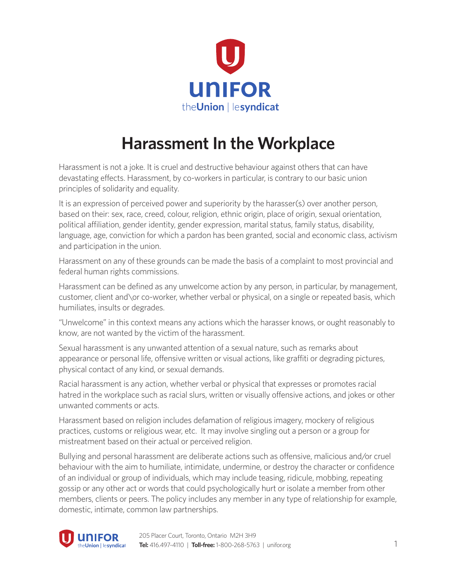

## **Harassment In the Workplace**

Harassment is not a joke. It is cruel and destructive behaviour against others that can have devastating effects. Harassment, by co-workers in particular, is contrary to our basic union principles of solidarity and equality.

It is an expression of perceived power and superiority by the harasser(s) over another person, based on their: sex, race, creed, colour, religion, ethnic origin, place of origin, sexual orientation, political affiliation, gender identity, gender expression, marital status, family status, disability, language, age, conviction for which a pardon has been granted, social and economic class, activism and participation in the union.

Harassment on any of these grounds can be made the basis of a complaint to most provincial and federal human rights commissions.

Harassment can be defined as any unwelcome action by any person, in particular, by management, customer, client and\or co-worker, whether verbal or physical, on a single or repeated basis, which humiliates, insults or degrades.

"Unwelcome" in this context means any actions which the harasser knows, or ought reasonably to know, are not wanted by the victim of the harassment.

Sexual harassment is any unwanted attention of a sexual nature, such as remarks about appearance or personal life, offensive written or visual actions, like graffiti or degrading pictures, physical contact of any kind, or sexual demands.

Racial harassment is any action, whether verbal or physical that expresses or promotes racial hatred in the workplace such as racial slurs, written or visually offensive actions, and jokes or other unwanted comments or acts.

Harassment based on religion includes defamation of religious imagery, mockery of religious practices, customs or religious wear, etc. It may involve singling out a person or a group for mistreatment based on their actual or perceived religion.

Bullying and personal harassment are deliberate actions such as offensive, malicious and/or cruel behaviour with the aim to humiliate, intimidate, undermine, or destroy the character or confidence of an individual or group of individuals, which may include teasing, ridicule, mobbing, repeating gossip or any other act or words that could psychologically hurt or isolate a member from other members, clients or peers. The policy includes any member in any type of relationship for example, domestic, intimate, common law partnerships.